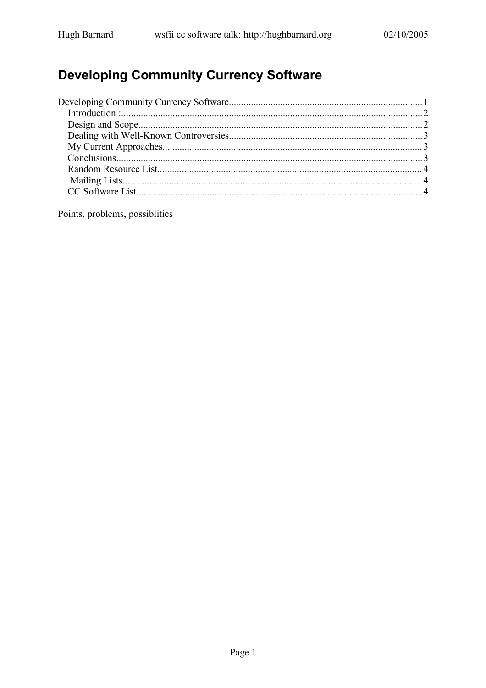# **Developing Community Currency Software**

Points, problems, possiblities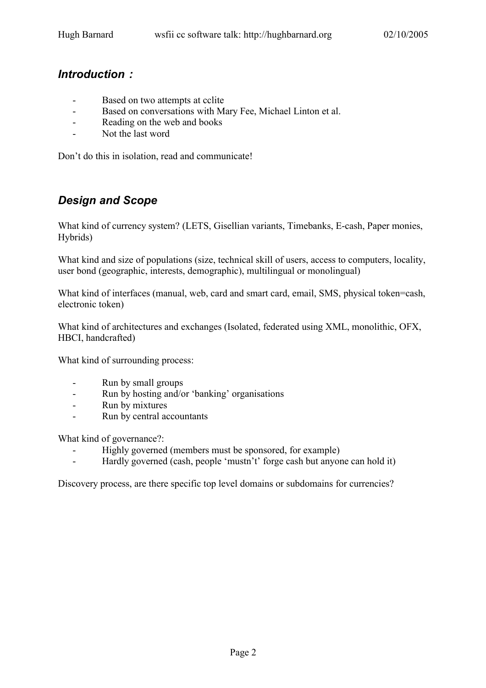#### *Introduction :*

- Based on two attempts at cclite
- Based on conversations with Mary Fee, Michael Linton et al.
- Reading on the web and books
- Not the last word

Don't do this in isolation, read and communicate!

# *Design and Scope*

What kind of currency system? (LETS, Gisellian variants, Timebanks, E-cash, Paper monies, Hybrids)

What kind and size of populations (size, technical skill of users, access to computers, locality, user bond (geographic, interests, demographic), multilingual or monolingual)

What kind of interfaces (manual, web, card and smart card, email, SMS, physical token=cash, electronic token)

What kind of architectures and exchanges (Isolated, federated using XML, monolithic, OFX, HBCI, handcrafted)

What kind of surrounding process:

- Run by small groups
- Run by hosting and/or 'banking' organisations
- Run by mixtures
- Run by central accountants

What kind of governance?:

- Highly governed (members must be sponsored, for example)
- Hardly governed (cash, people 'mustn't' forge cash but anyone can hold it)

Discovery process, are there specific top level domains or subdomains for currencies?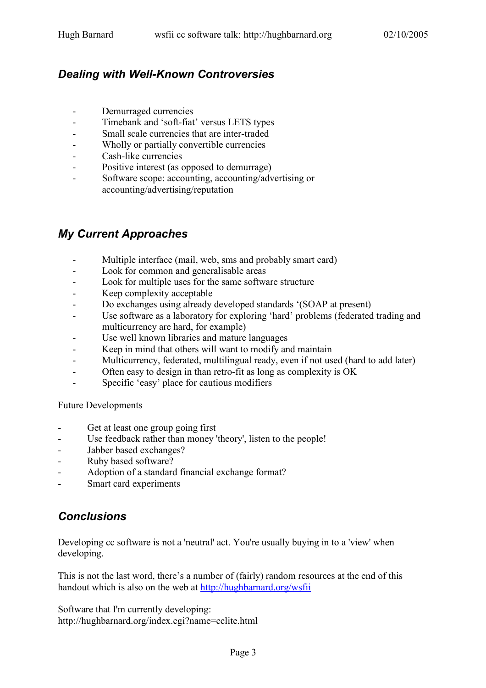# *Dealing with Well-Known Controversies*

- Demurraged currencies
- Timebank and 'soft-fiat' versus LETS types
- Small scale currencies that are inter-traded
- Wholly or partially convertible currencies
- Cash-like currencies
- Positive interest (as opposed to demurrage)
- Software scope: accounting, accounting/advertising or accounting/advertising/reputation

# *My Current Approaches*

- Multiple interface (mail, web, sms and probably smart card)
- Look for common and generalisable areas
- Look for multiple uses for the same software structure
- Keep complexity acceptable
- Do exchanges using already developed standards '(SOAP at present)
- Use software as a laboratory for exploring 'hard' problems (federated trading and multicurrency are hard, for example)
- Use well known libraries and mature languages
- Keep in mind that others will want to modify and maintain
- Multicurrency, federated, multilingual ready, even if not used (hard to add later)
- Often easy to design in than retro-fit as long as complexity is OK
- Specific 'easy' place for cautious modifiers

Future Developments

- Get at least one group going first
- Use feedback rather than money 'theory', listen to the people!
- Jabber based exchanges?
- Ruby based software?
- Adoption of a standard financial exchange format?
- Smart card experiments

## *Conclusions*

Developing cc software is not a 'neutral' act. You're usually buying in to a 'view' when developing.

This is not the last word, there's a number of (fairly) random resources at the end of this handout which is also on the web at http://hughbarnard.org/wsfii

Software that I'm currently developing: http://hughbarnard.org/index.cgi?name=cclite.html